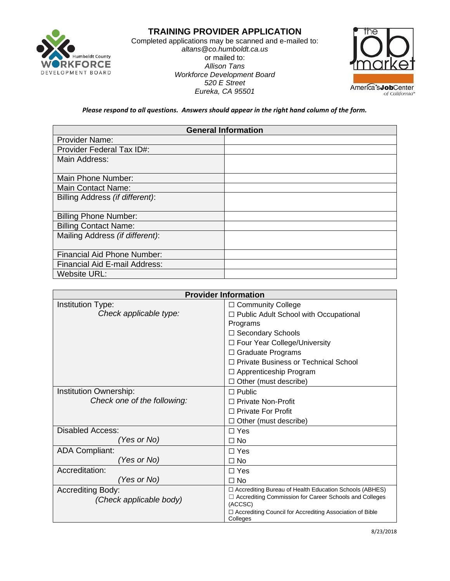

## **TRAINING PROVIDER APPLICATION**

Completed applications may be scanned and e-mailed to: *altans@co.humboldt.ca.us* or mailed to: *Allison Tans Workforce Development Board 520 E Street Eureka, CA 95501*



*Please respond to all questions. Answers should appear in the right hand column of the form.*

| <b>General Information</b>         |  |
|------------------------------------|--|
| <b>Provider Name:</b>              |  |
| <b>Provider Federal Tax ID#:</b>   |  |
| Main Address:                      |  |
|                                    |  |
| Main Phone Number:                 |  |
| <b>Main Contact Name:</b>          |  |
| Billing Address (if different):    |  |
|                                    |  |
| <b>Billing Phone Number:</b>       |  |
| <b>Billing Contact Name:</b>       |  |
| Mailing Address (if different):    |  |
|                                    |  |
| <b>Financial Aid Phone Number:</b> |  |
| Financial Aid E-mail Address:      |  |
| <b>Website URL:</b>                |  |

| <b>Provider Information</b> |                                                                     |
|-----------------------------|---------------------------------------------------------------------|
| Institution Type:           | □ Community College                                                 |
| Check applicable type:      | □ Public Adult School with Occupational                             |
|                             | Programs                                                            |
|                             | □ Secondary Schools                                                 |
|                             | □ Four Year College/University                                      |
|                             | $\Box$ Graduate Programs                                            |
|                             | □ Private Business or Technical School                              |
|                             | $\Box$ Apprenticeship Program                                       |
|                             | $\Box$ Other (must describe)                                        |
| Institution Ownership:      | $\Box$ Public                                                       |
| Check one of the following: | □ Private Non-Profit                                                |
|                             | $\Box$ Private For Profit                                           |
|                             | Other (must describe)                                               |
| <b>Disabled Access:</b>     | $\Box$ Yes                                                          |
| Yes or No)                  | $\Box$ No                                                           |
| <b>ADA Compliant:</b>       | $\Box$ Yes                                                          |
| (Yes or No)                 | $\Box$ No                                                           |
| Accreditation:              | $\Box$ Yes                                                          |
| (Yes or No)                 | $\Box$ No                                                           |
| <b>Accrediting Body:</b>    | □ Accrediting Bureau of Health Education Schools (ABHES)            |
| (Check applicable body)     | □ Accrediting Commission for Career Schools and Colleges<br>(ACCSC) |
|                             | $\Box$ Accrediting Council for Accrediting Association of Bible     |
|                             | Colleges                                                            |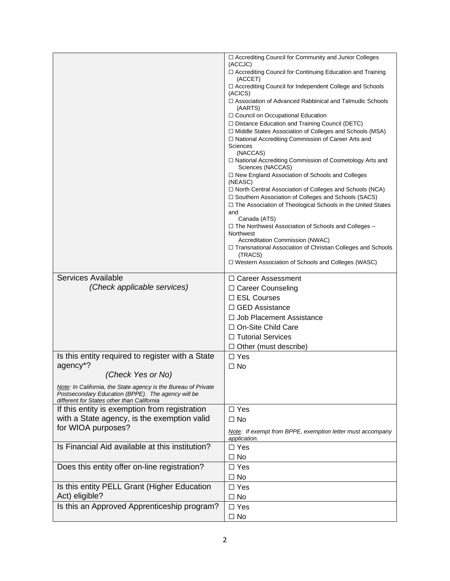|                                                                                                  | □ Accrediting Council for Community and Junior Colleges                                                           |
|--------------------------------------------------------------------------------------------------|-------------------------------------------------------------------------------------------------------------------|
|                                                                                                  | (ACCJC)                                                                                                           |
|                                                                                                  | □ Accrediting Council for Continuing Education and Training                                                       |
|                                                                                                  | (ACCET)<br>□ Accrediting Council for Independent College and Schools                                              |
|                                                                                                  | (ACICS)                                                                                                           |
|                                                                                                  | □ Association of Advanced Rabbinical and Talmudic Schools<br>(AARTS)                                              |
|                                                                                                  | □ Council on Occupational Education                                                                               |
|                                                                                                  | □ Distance Education and Training Council (DETC)                                                                  |
|                                                                                                  | □ Middle States Association of Colleges and Schools (MSA)<br>□ National Accrediting Commission of Career Arts and |
|                                                                                                  | <b>Sciences</b><br>(NACCAS)                                                                                       |
|                                                                                                  | □ National Accrediting Commission of Cosmetology Arts and<br>Sciences (NACCAS)                                    |
|                                                                                                  | □ New England Association of Schools and Colleges<br>(NEASC)                                                      |
|                                                                                                  | $\Box$ North Central Association of Colleges and Schools (NCA)                                                    |
|                                                                                                  | □ Southern Association of Colleges and Schools (SACS)                                                             |
|                                                                                                  | □ The Association of Theological Schools in the United States<br>and                                              |
|                                                                                                  | Canada (ATS)                                                                                                      |
|                                                                                                  | □ The Northwest Association of Schools and Colleges -                                                             |
|                                                                                                  | Northwest<br>Accreditation Commission (NWAC)                                                                      |
|                                                                                                  | □ Transnational Association of Christian Colleges and Schools                                                     |
|                                                                                                  | (TRACS)                                                                                                           |
|                                                                                                  | □ Western Association of Schools and Colleges (WASC)                                                              |
| Services Available                                                                               | $\Box$ Career Assessment                                                                                          |
| (Check applicable services)                                                                      | □ Career Counseling                                                                                               |
|                                                                                                  | $\Box$ ESL Courses                                                                                                |
|                                                                                                  | $\Box$ GED Assistance                                                                                             |
|                                                                                                  | $\Box$ Job Placement Assistance                                                                                   |
|                                                                                                  | □ On-Site Child Care                                                                                              |
|                                                                                                  | □ Tutorial Services                                                                                               |
|                                                                                                  | $\Box$ Other (must describe)                                                                                      |
| Is this entity required to register with a State                                                 | $\Box$ Yes                                                                                                        |
| agency <sup>*?</sup>                                                                             | $\Box$ No                                                                                                         |
| (Check Yes or No)                                                                                |                                                                                                                   |
| Note: In California, the State agency is the Bureau of Private                                   |                                                                                                                   |
| Postsecondary Education (BPPE). The agency will be<br>different for States other than California |                                                                                                                   |
| If this entity is exemption from registration                                                    | $\Box$ Yes                                                                                                        |
| with a State agency, is the exemption valid                                                      | $\Box$ No                                                                                                         |
| for WIOA purposes?                                                                               | Note: If exempt from BPPE, exemption letter must accompany                                                        |
|                                                                                                  | application.                                                                                                      |
| Is Financial Aid available at this institution?                                                  | $\Box$ Yes                                                                                                        |
|                                                                                                  | $\Box$ No                                                                                                         |
| Does this entity offer on-line registration?                                                     | $\Box$ Yes                                                                                                        |
|                                                                                                  | $\Box$ No                                                                                                         |
| Is this entity PELL Grant (Higher Education                                                      | $\Box$ Yes                                                                                                        |
| Act) eligible?                                                                                   | $\Box$ No                                                                                                         |
| Is this an Approved Apprenticeship program?                                                      | $\Box$ Yes                                                                                                        |
|                                                                                                  | $\Box$ No                                                                                                         |